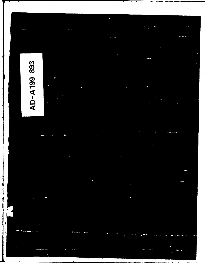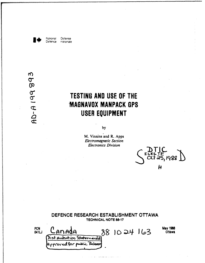

National Delense Delence nationale

# $\omega$ AD-A19989

# TESTING AND USE OF THE **MAGNAVOX MANPACK GPS** USER EQUIPMENT

by

M. Vinnins and R. Apps Electromagnetic Section **Electronics Division** 

 $\frac{1}{2}$   $\frac{1}{2}$   $\frac{1}{2}$   $\frac{1}{2}$   $\frac{1}{2}$   $\frac{1}{2}$   $\frac{1}{2}$   $\frac{1}{2}$   $\frac{1}{2}$   $\frac{1}{2}$ Η

|              | DEFENCE RESEARCH ESTABLISHMENT OTTAWA | <b>TECHNICAL NOTE 88-17</b> |              |                                                |
|--------------|---------------------------------------|-----------------------------|--------------|------------------------------------------------|
| PCN<br>041LJ | Canada<br>Dist pubution Statement     |                             | 88 10 24 163 | <b>May 1988</b><br><b><i><u>Ottawa</u></i></b> |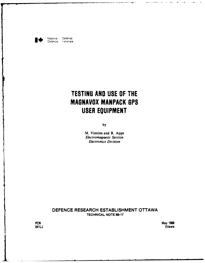

National Défense<br>Defence nationale Defence

# **TESTING AND USE OF THE MAGNAVOX MANPACK OPS USER EQUIPMENT**

**by**

M. Vinnins and R. Apps *Electromagnetic Section Electronics Division*

**DEFENCE** RESEARCH **ESTABLISHMENT OTTAWA TECHNICAL NOTE 88-17** 

**PCN** May **1988** 041 **LJ** Ottawa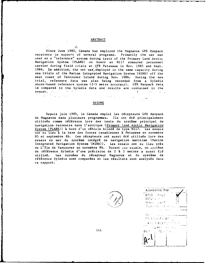#### ABSTRACT

ے

Since June 1985, Canada has employed the Magnavox GPS Manpack receivers in support of several programs. Primarily the set was used as a "reference" system during tests of the Primary Land Arctic Navigation System (PLANS) on board an **M117** armoured personnel carrier during field trials at CFB Petawawa in Nov. 1985 and Sept. 1986.  $\bar{1}n$ -addition, the set was employed in the same capacity during sea trials of the Marine Integrated Navigation System (MINS) off the west coast of Vancouver Island during Nov. 1986. During the sea trial, reference data was also being recorded from a Syledis shore-based reference system (2-5 metre accuracy). GPS Manpack data is compared to the Syledis data and results are contained in the report. All a series Andreas and the second  $\label{eq:2.1} \mathbb{E}\left[\left(\frac{2\pi}{\lambda}\right)^2\right] \leq \mathbb{E}\left[\left(\frac{2\pi}{\lambda}\right)^2\right] \leq \mathbb{E}\left[\left(\frac{2\pi}{\lambda}\right)^2\right] \leq \mathbb{E}\left[\left(\frac{2\pi}{\lambda}\right)^2\right] \leq \mathbb{E}\left[\left(\frac{2\pi}{\lambda}\right)^2\right] \leq \mathbb{E}\left[\left(\frac{2\pi}{\lambda}\right)^2\right] \leq \mathbb{E}\left[\left(\frac{2\pi}{\lambda}\right)^2\right] \leq \mathbb{E}\left[\left(\frac{2\pi$  $\label{eq:2} \mathcal{F}(\mathcal{F}) = \mathcal{F}(\mathcal{F}) \mathcal{F}(\mathcal{F}) \mathcal{F}(\mathcal{F})$ 

## RESUME

Depuis juin 1985, le Canada emploi les récepteurs GPS Manpack de Magnavox dans plusieurs programmes. Ils ont été principalement utilisés comme référence lors des tests du système principal de navigation terrestre dans l'arctique (Primary Iand Arctic Navigation System (PLANS)) à bord d'un véhicle blindé de type M117. Les essais ont eu lieu **A** la base des forces canadiennes **A** Petawawa en novembre 85 et septembre 86. Ces récepteurs ont aussi été utilisés lors des essais en mer du système intégré de navigation maritime (Marine Integrated Navigation System (MINS)). Les essais ont eu lieu près de L'île de Vancouver en novembre 86. Durant ces essais, un système de référence Syledis d'une précision de 2 à 5 metres a aussi été utilisé. Les données du récepteur Magnavox et du système de référence Syledis sont comparées et les résultats sont analysés dans ce rapport.



| Accession For         |  |
|-----------------------|--|
| - NTIS - GEALI        |  |
| ונות הותמ<br>П        |  |
| 门<br>Uran ced         |  |
| Justinie, Sich        |  |
|                       |  |
| ľу                    |  |
| <b>手引っしょう かいしくべぬ!</b> |  |
| <b>And Rubiliter</b>  |  |
| LIVE CONSTRUCTS       |  |
| Station L<br>Dist     |  |
|                       |  |
|                       |  |
|                       |  |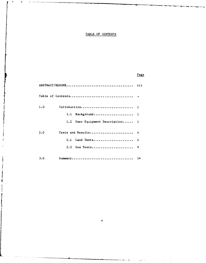# TABLE OF **CONTENTS**

# Page

| 1.0                              |   |
|----------------------------------|---|
| 1.1 Background 1                 |   |
| 1.2 User Equipment Description 1 |   |
| Tests and Results 4<br>2.0       |   |
| 2.1 Land Tests                   | 4 |
| 2.2 Sea Tests                    | 9 |
| 3.0                              |   |

 $\overline{a}$ 

€

 $\hat{\mathbf{v}}$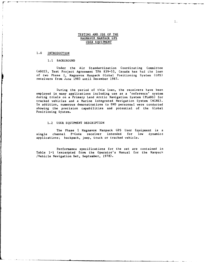# TESTING AND USE OF THE MAGNAVOX MANPACK **GPS** USER EQUIPMENT

## 1.0 INTRODUCTION

#### **1.1** BACKGROUND

Under the Air Standardization Coordinating Committee (ASCC), Test Project Agreement TPA 839-53, Canada has had the loan of two Phase I, Magnavox Manpack Global Positioning System (GPS) receivers from June 1985 until December 1987.

During the period of this loan, the receivers have been employed in many applications including use as a 'reference' system during trials on a Primary Land Arctic Navigation System (PLANS) for tracked vehicles and a Marine Integrated Navigation System (MINS). In addition, numerous demonstrations to DND personnel were conducted showing the precision capabilities and potential of the Global Positioning System.

#### 1.2 USER EQUIPMENT DESCRIPTION

The Phase I Magnavox Manpack **GPS** User Equipment is a single channel P-Code receiver intended for low dynamics applications; backpack, jeep, truck or tracked vehicle.

Performance specifications for the set are contained in Table **1-I** (excerpted from the Operator's Manual for the Manpack /Vehicle Navigation Set, September, 1978).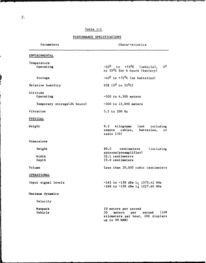# Table **1-I**

# PERFORMANCE SPECIFICATIONS

| Parameters                   | Characteristics                                                                                                      |
|------------------------------|----------------------------------------------------------------------------------------------------------------------|
| ENVIRONMENTAL                |                                                                                                                      |
| Temperature<br>Operating     | $-20^0$ to $+55^0$ C (vehicle),<br>0 <sup>0</sup><br>to 55 <sup>0</sup> C for 6 hours (battery)                      |
| Storage                      | $-40^0$ to $+71^0$ C (no batteries)                                                                                  |
| Relative humidity            | 95% ( $0^0$ to 55 <sup>0</sup> C)                                                                                    |
| Altitude<br>Operating        | $-300$ to 4,500 meters                                                                                               |
| Temporary storage (24 hours) | $-300$ to 15,000 meters                                                                                              |
| Vibration                    | $5.5$ to 200 Hz                                                                                                      |
| PHYSICAL                     |                                                                                                                      |
| Weight                       | 9.3 kilograms (not including<br>remote cables, batteries,<br>$\circ$ r<br>radio $I/0$ )                              |
| Dimensions                   |                                                                                                                      |
| Height<br>Width<br>Depth     | 89.0 centimeters<br>(including)<br>antenna/preamplifier)<br>32.1 centimeters<br>19.6 centimeters                     |
| Volume                       | Less than 20,000 cubic centimeters                                                                                   |
| OPERATIONAL                  |                                                                                                                      |
| Input signal levels          | -163 to -150 dBw L <sub>1</sub> 1575.42 MHz<br>$-166$ to $-150$ dBw L <sub>2</sub> 1227.60 MHz                       |
| Maximum dynamics             |                                                                                                                      |
| Velocity                     |                                                                                                                      |
| Manpack<br>Vehicle           | 10 meters per second<br>(108)<br>30<br>meters<br>per<br>second<br>kilometers per hour, CDU displays<br>up to 99 KMH) |

ī.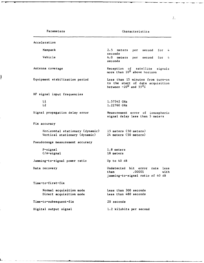ŀ

# Parameters Characteristics

Acceleration Manpack 2.5 meters per second for 4 seconds Vehicle 6.0 meters per second for 4 seconds Antenna coverage and the Reception of satellite signals more than **100** above horizon Equipment stabilization period Less than 15 minutes from turn-on to the start of data acquisition between  $-20^0$  and  $55^0C$ RF signal input frequencies L1 1.57542 GHz<br>L2 1.22760 GHz L2 1.22760 GHz Signal propagation delay error Measurement error of ionospheric signal delay less than 5 meters Fix accuracy Horizontal stationary (dynamic) 15 meters **(50** meters) Vertical stationary (dynamic) 24 meters (50 meters) Pseudorange measurement accuracy P-signal **1.8** meters C/A-signal **18** meters Jamming-to-signal power ratio Up to 40 dB Data recovery Undetected bit error rate less than .00001 with jamming-to-signal ratio of 40 dB Time-to-first-fix Normal acquisition mode Less than 300 seconds Direct acquisition mode Less than 480 seconds Time-to-subsequent-fix 20 seconds Digital output signal 1.2 kilobits per second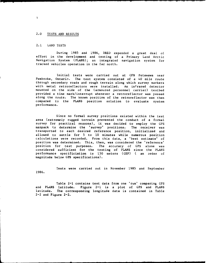#### 2.0 TESTS AND RESULTS

# 2.1 LAND TESTS

During 1985 and 1986, DREO expended a great deal of effort in the development and testing of a Primary Land Arctic Navigation System (PLANS); an integrated navigation system for tracked vehicles operation in the far north.

Initial tests were carried out at CFB Petawawa near Pembroke, Ontario. The test system consisted of a 40 mile route through secondary roads and rough terrain along which survey markers with metal retroreflectors were installed. An infrared detector mounted on the side of the (armoured personnel carrier) testbed provided a time mark/interrupt whenever a retroreflector was passed along the route. The known position of the retroreflector was then compared to the PLANS position solution to evaluate system performance.

Since no formal survey positions existed within the test area (extremely rugged terrain prevented the conduct of a formal survey for practical reasons), it was decided to employ the GPS manpack to determine the 'survey' positions. The receiver was transported to each desired reference position, initialized and allowed to settle for 5 to **10** minutes while numerous position calculations were recorded. From this data, a 'best estimate' of position was determined. This, then, was considered the 'reference' position for test purposes. The accuracy of GPS alone was considered sufficient for the testing of PLANS since the PLANS performance specificiation is 150 meters (CEP) ( an order of magnitude below GPS specifications).

Tests were carried out in November 1985 and September 1986.

Table 2-i contains test data from one 'run' comparing GPS and PLANS latitude. Figure 2-1 is a plot of GPS and PLANS latitude. The corresponding longitude data is contained in Table 2-2 and Figure 2-2.

 $\overline{4}$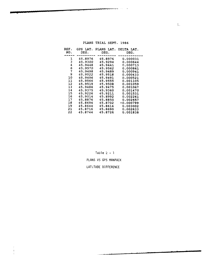| REF. | GPS LAT. | PLANS LAT. | DELTA LAT. |
|------|----------|------------|------------|
| NO.  | DEG.     | DEG.       | DEG.       |
|      |          |            |            |
| 1    | 45.8976  | 45.8976    | 0.000031   |
| 3    | 45.9300  | 45.9294    | 0.000644   |
| 4    | 45.9448  | 45.9441    | 0.000713   |
| 6    | 45.9570  | 45.9562    | 0.000861   |
| 7    | 45.9498  | 45.9489    | 0.000941   |
| 9    | 45.9522  | 45.9518    | 0.000433   |
| 10   | 45.9496  | 45.9491    | 0.000521   |
| 11   | 45.9566  | 45.9555    | 0.001105   |
| 12   | 45.9519  | 45.9508    | 0.001059   |
| 13   | 45.9486  | 45.9475    | 0.001067   |
| 14   | 45.9375  | 45.9360    | 0.001470   |
| 15   | 45.9226  | 45.9211    | 0.001531   |
| 16   | 45.9014  | 45.8992    | 0.002261   |
| 17   | 45.8876  | 45.8850    | 0.002657   |
| 18   | 45.8694  | 45.8702    | -0.000799  |
| 19   | 45.8644  | 45.8614    | 0.003002   |
| 21   | 45.8716  | 45.8690    | 0.002633   |
| 22   | 45.8744  | 45.8726    | 0.001838   |

PLANS TRIAL SEPT. 1986

 $\sim$   $\sim$ 

Table 2 - **I PLANS** VS **GPS MANPACK** LATITUDE DIFFERENCE

 $\frac{1}{2}$  $\mathbf{I}$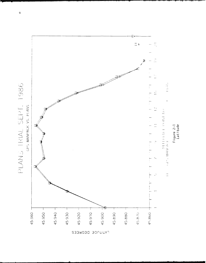

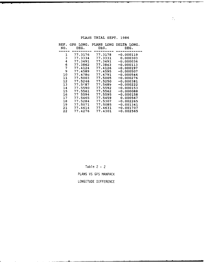| REF. | GPS LONG. |         | PLANS LONG DELTA LONG. |
|------|-----------|---------|------------------------|
| NO.  | DEG.      | DEG.    | DEG.                   |
|      |           |         |                        |
| ı    | 77.3176   | 77.3178 | -0.000119              |
| 3    | 77.3334   | 77.3331 | 0.000303               |
| 4    | 77.3491   | 77.3491 | -0.000036              |
| 6    | 77.3862   | 77.3863 | $-0.000113$            |
| 7    | 77.4124   | 77.4126 | -0.000197              |
| 9    | 77.4589   | 77.4595 | -0.000507              |
| 10   | 77.4786   | 77.4791 | -0.000546              |
| 11   | 77.5003   | 77.5005 | $-0.000276$            |
| 12   | 77.5246   | 77.5250 | -0.000381              |
| 13   | 77.5487   | 77.5489 | $-0.000222$            |
| 14   | 77.5590   | 77.5592 | -0.000153              |
| 15   | 77.5561   | 77.5562 | $-0.000088$            |
| 16   | 77 5594   | 77.5595 | -0.000158              |
| 17   | 77.5465   | 77.5459 | 0.000567               |
| 18   | 77.5284   | 77.5307 | -0.002265              |
| 19   | 77.5071   | 77.5085 | -0.001341              |
| 21   | 77.4614   | 77.4631 | -0.001707              |
| 22   | 77.4276   | 77.4301 | -0.002565              |

PLANS TRIAL SEPT. 1986

 $\sim 7\%$ 

Table 2 - 2 PLANS VS GPS MANPACK

LONGITUDE DIFFERENCE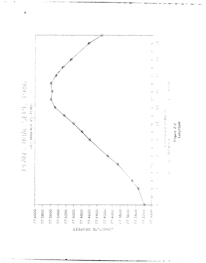PLANS IRIAL SEPT. 1986



 $\beta$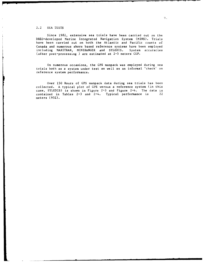## 2.2 SEA TESTS

Since 1982, extensive sea trials have been carried out on the DREO-developed Marine Integrated Navigation System (MINS). Trials have been carried out on both the Atlantic and Pacific coasts of Canada and numerous shore based reference systems have been employed including MAXITRAN, MINIRANGER and SYLEDIS. System accuracies (after post-processing ) are estimated at 2-5 meters CEP.

On numerous occasions, the GPS manpack was employed during sea trials both as a system under test as well as an informal 'check' on reference system performance.

Over 150 Hours of GPS manpack data during sea trials has been collected. A typical plot of GPS versus a reference system (in this case, SYLEDIS) is shown in Figure **2-3** and Figure 2-4. The data is contained in Tables 2-3 and 2-4. Typical performance is 22 meters (95%).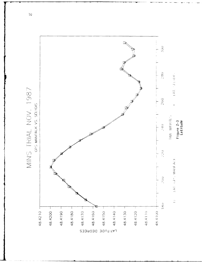

 $\overline{10}$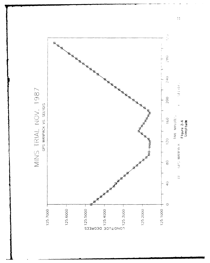

 $\mathcal{W}$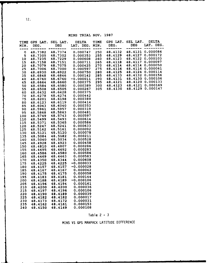MINS TRIAL NOV. 1987

| <b>TIME</b><br>MIN. | GPS LAT.<br>DEG.   | SEL LAT.<br><b>DEG</b> | <b>DELTA</b><br>LAT. DEG.   | TIME<br>MIN. | GPS LAT.<br>DEG.   | SEL LAT.<br><b>DEG</b> | <b>DELTA</b><br>LAT. DEG.            |
|---------------------|--------------------|------------------------|-----------------------------|--------------|--------------------|------------------------|--------------------------------------|
| $\circ$             | 48.7382            | 48.7374                | 0.000747                    | 250          | 48.4132            | 48.4131                | 0.000086                             |
| 5                   | 48.7305            | 48.7302<br>48.7229     | 0.000353                    | 255          | 48.4129<br>48.4123 | 48.4127<br>48.4122     | 0.000172<br>0.000103                 |
| 10<br>15            | 48.7235<br>48.7158 | 48.7151                | 0.000608<br>0.000711        | 260<br>265   | 48.4118            | 48.4117                | 0.000097                             |
| 20                  | 48.7079            | 48.7075                | 0.000425                    | 270          | 48.4114            | 48.4114                | 0.000050                             |
| 25                  | 48.7006            | 48.7000                | 0.000597                    | 275          | 48.4116            | 48.4116                | 0.000061                             |
| 30                  | 48.6930            | 48.6922                | 0.000750                    | 280          | 48.4125            | 48.4124                | 0.000114                             |
| 35                  | 48.6848            | 48.6846                | 0.000142                    | 285          | 48.4133            | 48.4132                | 0.000156                             |
| 40                  | 48.6760            | 48.6760                | -0.000011                   | 290          | 48.4131            |                        | 48.4130 0.000106                     |
| 45                  | 48.6664            | 48.6660<br>48.6580     | 0.000375<br>0.000389        | 295<br>300   | 48.4121<br>48.4123 |                        | 48.4120 0.000133<br>48.4121 0.000169 |
| 50<br>55            | 48.6584<br>48.6508 | 48.6505                | 0.000267                    | 305          | 48.4130            |                        | 48.4129 0.000147                     |
| 60                  | 48.6432            | 48.6428                | 0.000375                    |              |                    |                        |                                      |
| 70                  | 48.6278            | 48.6274                | 0.000442                    |              |                    |                        |                                      |
| 75                  | 48.6201            | 48.6198                | 0.000389                    |              |                    |                        |                                      |
| 80                  | 48.6123            | 48.6119                | 0.000414                    |              |                    |                        |                                      |
| 85                  | 48.6043            | 48.6040                | 0.000353                    |              |                    |                        |                                      |
| 90                  | 48.5961<br>48.5868 | 48.5957<br>48.5863     | 0.000319<br><b>0.000481</b> |              |                    |                        |                                      |
| 95<br>100           | 48.5749            | 48.5743                | 0.000597                    |              |                    |                        |                                      |
| 110                 | 48.5499            | 48.5493                | 0.000614                    |              |                    |                        |                                      |
| 115                 | 48.5371            | 48.5365                | 0.000586                    |              |                    |                        |                                      |
| 120                 | 48.5247            | 48.5241                | 0.000633                    |              |                    |                        |                                      |
| 125                 | 48.5162            | 48.5161                | 0.000092                    |              |                    |                        |                                      |
| 130                 | 48.5121            | 48.5120                | <b>0.000078</b>             |              |                    |                        |                                      |
| 135                 | 48.5084            | 48.5082                | 0.000211                    |              |                    |                        |                                      |
| 140<br>145          | 48.5040<br>48.4928 | 48.5034<br>48.4923     | 0.000528<br>0.000458        |              |                    |                        |                                      |
| 150                 | 48.4810            | 48.4807                | <b>0.000286</b>             |              |                    |                        |                                      |
| 155                 | 48.4695            | 48.4692                | 0.000283                    |              |                    |                        |                                      |
| 160                 | 48.4586            | 48.4580                | 0.000586                    |              |                    |                        |                                      |
| 165                 | 48.4469            | 48.4463                | 0.000583                    |              |                    |                        |                                      |
| 170                 | 48.4350            | 48.4344                | 0.000608                    |              |                    |                        |                                      |
| 175                 | 48.4225            | 48.4225                | $-0.000033$                 |              |                    |                        |                                      |
| 180                 | 48.4157            | 48.4157                | $-0.000028$                 |              |                    |                        |                                      |
| 185<br>190          | 48.4167<br>48.4175 | 48.4167<br>48.4175     | 0.000042<br><b>0.000058</b> |              |                    |                        |                                      |
| 195                 | 48.4183            | 48.4181                | 0.000144                    |              |                    |                        |                                      |
| 200                 | 48.4188            | 48.4189                | $-0.000106$                 |              |                    |                        |                                      |
| 205                 | 48.4196            | 48.4194                | 0.000161                    |              |                    |                        |                                      |
| 210                 | 48.4200            | 48.4200                | <b>0.000036</b>             |              |                    |                        |                                      |
| 215                 | 48.4197            | 48.4196                | 0.000106                    |              |                    |                        |                                      |
| 220                 | 48.4190            | 48.4189                | <b>0.000039</b>             |              |                    |                        |                                      |
| 225                 | 48.4182            | 48.4182                | 0.000017                    |              |                    |                        |                                      |
| 230                 | 48.4173            | 48.4172<br>48.4161     | 0.000031<br>0.000153        |              |                    |                        |                                      |
| 235<br>240          | 48.4162<br>48.4150 | 48.4149                | 0.000108                    |              |                    |                        |                                      |
|                     |                    |                        |                             |              |                    |                        |                                      |

# Table 2 - 3

MINS VS GPS MANPACK LATITUDE DIFFERENCE

12.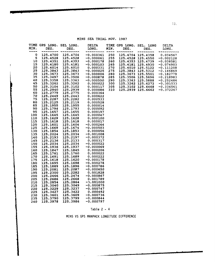| MIN.<br>---- | TIME GPS LONG.<br>DEG. | SEL LONG.<br>DEG.    | DELTA<br>LONG.               | MIN.       | TIME GPS LONG.<br>DEG. | SEL. LONG<br>DEG.    | DELTA<br>LONG.           |
|--------------|------------------------|----------------------|------------------------------|------------|------------------------|----------------------|--------------------------|
| 0<br>5       | 125.4700<br>125.4528   | 125.4704<br>125.4528 | -0.000361<br>-0.000061       | 250<br>255 | 125.4704<br>125,4528   | 125.4358<br>125.4550 | 0.034567<br>-0.002128    |
| 10           | 125.4351               | 125.4353             | -0.000178                    | 260        | 125.4353               | 125.4739             | -0.038581                |
| 15           | <b>125.4180</b>        | 125.4181             | -0.000103                    | 265        | 125.4181               | 125.4930             | -0.074903                |
| 20           | 125.4014               | 125.4010             | 0.000331                     | 270        | 125,4010               | 125.5122             | -0.111208                |
| 25           | 125.3843               | 125.3843             | $-0.000025$                  | 275        | 125.3843               | 125.5312             | -0.146869                |
| 30           | 125.3673               | 125.3673             | ~0.000006                    | 280        | 125.3673               | 125.5501             | -0.182778                |
| 35           | 125.3497               | 125.3506             | -0.000878                    | 285        | 125.3506               | 125.5696             | -0.218983                |
| 40<br>45     | 125.3358               | 125.3363<br>125.3262 | -0.000550                    | 290        | 125.3363               | 125.5888             | -0.252486                |
| 50           | 125.3262<br>125.3104   | 125.3102             | 0.000022<br>0.000117         | 300<br>305 | 125.3262<br>125.3102   | 125.6272<br>125.6468 | -0.301033                |
| 55           | 125.2940               | 125.2939             | 0.000086                     | 310        |                        | 125.2939 125.6662    | -0.336561<br>$-0.372267$ |
| 60           | 125.2779               | 125.2775             | 0.000364                     |            |                        |                      |                          |
| 70           | 125.2449               | 125.2443             | 0.000622                     |            |                        |                      |                          |
| 75           | 125.2287               | 125.2282             | 0.000533                     |            |                        |                      |                          |
| 80           | 125.2125               | 125.2119             | 0.000528                     |            |                        |                      |                          |
| 85           | 125.1955               | 125,1955             | 0.000014                     |            |                        |                      |                          |
| 90           | 125.1794               | 125.1793             | 0.000092                     |            |                        |                      |                          |
| 95           | 125.1657               | 125.1655             | 0.000197                     |            |                        |                      |                          |
| 100          | 125.1645               | 125.1645             | 0.000047                     |            |                        |                      |                          |
| 110<br>115   | 125.1629               | 125.1628             | 0.000100                     |            |                        |                      |                          |
| 120          | 125.1618<br>125.1601   | 125.1618<br>125.1604 | <b>0.000017</b><br>-0.000264 |            |                        |                      |                          |
| 125          | 125.1669               | 125.1674             | -0.000503                    |            |                        |                      |                          |
| 130          | 125.1854               | 125.1853             | 0.000056                     |            |                        |                      |                          |
| 135          | 125.2024               | 125.2034             | $-0.001008$                  |            |                        |                      |                          |
| 140          | 125.2193               | 125.2197             | -0.000372                    |            |                        |                      |                          |
| 145          | 125.2136               | 125.2133             | 0.000317                     |            |                        |                      |                          |
| 150          | 125.2034               | 125.2034             | -0.000022                    |            |                        |                      |                          |
| 155          | 125.1936               | 125.1937             | -0.000069                    |            |                        |                      |                          |
| 160          | 125.1847               | 125.1845             | 0.000206                     |            |                        |                      |                          |
| 165          | 125.1761               | 125.1760             | 0.000022                     |            |                        |                      |                          |
| 170          | 125.1691               | 125.1689             | 0.000222                     |            |                        |                      |                          |
| 175          | 125.1618               | 125.1620             | -0.000178                    |            |                        |                      |                          |
| 180          | 125.1695<br>125.1889   | 125.1698<br>125.1896 | -0.000278<br>-0.000786       |            |                        |                      |                          |
| 185<br>190   | 125.2081               | 125.2087             | -0.000650                    |            |                        |                      |                          |
| 195          | 125.2300               | 125.2282             | 0.001828                     |            |                        |                      |                          |
| 200          | 125.2466               | 125.2474             | -0.000867                    |            |                        |                      |                          |
| 205          | 125.2686               | 125.2668             | 0.001789                     |            |                        |                      |                          |
| 210          | 125.2854               | 125.2864             | -0.001000                    |            |                        |                      |                          |
| 215          | 125.3040               | 125.3049             | -0.000875                    |            |                        |                      |                          |
| 220          | 125.3229               | 125.3237             | -0.000747                    |            |                        |                      |                          |
| 225          | 125.3427               | 125.3422             | 0.000492                     |            |                        |                      |                          |
| 230          | 125.3601               | 125.3609             | -0.000736                    |            |                        |                      |                          |
| 235          | 125.3790               | 125.3799             | $-0.000844$                  |            |                        |                      |                          |
| 240          | 125.3978               | 125.3986             | -0.000797                    |            |                        |                      |                          |

MINS **SEA** TRIAL **NOV. 1987**

 $\ddot{\phantom{a}}$ 

# Table 2 - 4

MINS VS GPS MANPACK LONGITUDE DIFFERENCE

للأستداء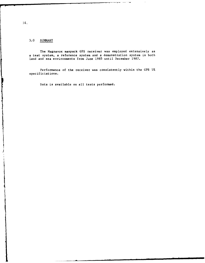# 3.0 SUMMARY

The Magnavox manpack GPS receiver was employed extensively as a test system, a reference system and a demonstration system in both land and sea environments from June 1985 until December 1987.

Performance of the receiver was consistently within the GPS UE specificiations.

Data is available on all tests performed.

Į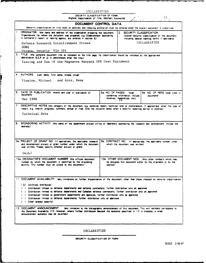| UNCLASSIFIED |  |  |  |
|--------------|--|--|--|
|--------------|--|--|--|

**SiCURITY CLASSIFICATION** OF FORM

 $\hat{\epsilon}$ 

 $\tilde{V}$ 

í,  $\frac{1}{2}$ ŀ

 $\vdash$ 

ľ

|    | DOCUMENT CONTROL DATA                                                                                                                                                                                                                                                                                                                                                                                                                                                                                                                                                                                                                              |                                                                                                  |                                                                                                                                 |
|----|----------------------------------------------------------------------------------------------------------------------------------------------------------------------------------------------------------------------------------------------------------------------------------------------------------------------------------------------------------------------------------------------------------------------------------------------------------------------------------------------------------------------------------------------------------------------------------------------------------------------------------------------------|--------------------------------------------------------------------------------------------------|---------------------------------------------------------------------------------------------------------------------------------|
|    | (Security classification of title, body of abstract and indexing annotation must be entered when the overall document is classified)                                                                                                                                                                                                                                                                                                                                                                                                                                                                                                               |                                                                                                  |                                                                                                                                 |
|    | 1. ORIGINATOR (the name and address of the organization preparing the document.<br>Organizations for whom the document was prepared, e.g. Establishment sponsoring<br>a contractor's report, or tasking agency, are entered in section 8.)                                                                                                                                                                                                                                                                                                                                                                                                         | 2.                                                                                               | SECURITY CLASSIFICATION<br>(overall security classification of the document.<br>including special warning terms if applicable). |
|    | Defence Research Establishment Ottawa<br><b>NDHQ</b>                                                                                                                                                                                                                                                                                                                                                                                                                                                                                                                                                                                               |                                                                                                  | UNCLASSIFIED                                                                                                                    |
|    | Ottawa, Ontario KlA 0Z4                                                                                                                                                                                                                                                                                                                                                                                                                                                                                                                                                                                                                            |                                                                                                  |                                                                                                                                 |
|    | 3. TITLE (the complete document title as indicated on the title page. Its classification should be indicated by the appropriate<br>abbreviation (S,C,R or U) in parentheses after the title.)<br>Testing and Use of the Magnavox Manpack GPS User Equipment                                                                                                                                                                                                                                                                                                                                                                                        |                                                                                                  |                                                                                                                                 |
|    |                                                                                                                                                                                                                                                                                                                                                                                                                                                                                                                                                                                                                                                    |                                                                                                  |                                                                                                                                 |
|    | 4. AUTHORS<br>(Last name, first name, middle initial)                                                                                                                                                                                                                                                                                                                                                                                                                                                                                                                                                                                              |                                                                                                  |                                                                                                                                 |
|    | Vinnins, Michael and Apps, Rene                                                                                                                                                                                                                                                                                                                                                                                                                                                                                                                                                                                                                    |                                                                                                  |                                                                                                                                 |
| 5. | DATE OF PUBLICATION (month and year of publication of<br>document)                                                                                                                                                                                                                                                                                                                                                                                                                                                                                                                                                                                 | 6a NO. OF PAGES<br><b>Intel</b><br>containing information, include                               | 6b. NO. OF REFS (total cited in<br>document)                                                                                    |
|    | May 1988                                                                                                                                                                                                                                                                                                                                                                                                                                                                                                                                                                                                                                           | Annexes, Appendices, etc.)                                                                       |                                                                                                                                 |
|    | 7. DESCRIPTIVE NOTES (the category of the document, e.g. technical report, technical note or memorandum. If appropriate, enter the type of<br>report, e.g. interim, progress, summary, annual or final. Give the inclusive dates when a specific reporting period is covered.)<br>Technical Note                                                                                                                                                                                                                                                                                                                                                   |                                                                                                  |                                                                                                                                 |
|    |                                                                                                                                                                                                                                                                                                                                                                                                                                                                                                                                                                                                                                                    |                                                                                                  |                                                                                                                                 |
|    | 8. SPONSORING ACTIVITY (the name of the department project office or laboratory sponsoring the research and development. Include the<br>address.)                                                                                                                                                                                                                                                                                                                                                                                                                                                                                                  |                                                                                                  |                                                                                                                                 |
|    | 9a. PROJECT OR GRANT NO. (if appropriate, the applicable research<br>and development project or grant number under which the document<br>was written. Please specify whether project or grant)                                                                                                                                                                                                                                                                                                                                                                                                                                                     | 9b. CONTRACT NO. (if appropriate, the applicable number under<br>which the document was written) |                                                                                                                                 |
|    | 041LJ                                                                                                                                                                                                                                                                                                                                                                                                                                                                                                                                                                                                                                              |                                                                                                  |                                                                                                                                 |
|    | 10a. ORIGINATOR'S DOCUMENT NUMBER (the official document<br>number by which the document is identified by the originating<br>activity. This number must be unique to this document.)                                                                                                                                                                                                                                                                                                                                                                                                                                                               | 10b. OTHER DOCUMENT NOS. (Any other numbers which may<br>sponsor)                                | be assigned this document either by the originator or by the                                                                    |
|    | 11. DOCUMENT AVAILABILITY (any limitations on further dissemination of the document, other than those imposed by security classification)<br>(X) Unlimited distribution<br>( ) Distribution limited to defence departments and defence contractors; further distribution only as approved<br>() Distribution limited to defence departments and Canadian defence contractors; further distribution only as approved<br>( ) Distribution limited to government departments and agencies; further distribution only as approved<br>Distribution limited to defence departments; further distribution only as approved<br>( ) Other (piease specify): |                                                                                                  |                                                                                                                                 |

UNCLASSIFIED

**SECURITY CLASSIFICATION** OF FORM